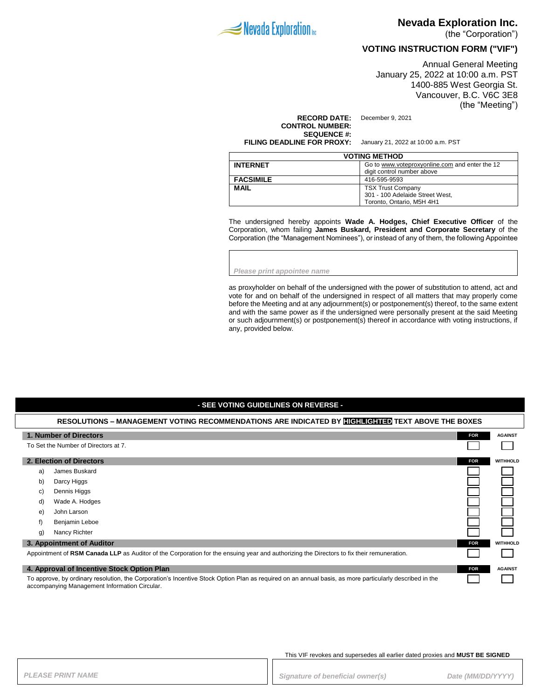

## **Nevada Exploration Inc.**

(the "Corporation")

## **VOTING INSTRUCTION FORM ("VIF")**

Annual General Meeting January 25, 2022 at 10:00 a.m. PST 1400-885 West Georgia St. Vancouver, B.C. V6C 3E8 (the "Meeting")

### **RECORD DATE:** December 9, 2021 **CONTROL NUMBER: SEQUENCE #:**

**FILING DEADLINE FOR PROXY:** January 21, 2022 at 10:00 a.m. PST

| <b>VOTING METHOD</b> |                                                                              |  |
|----------------------|------------------------------------------------------------------------------|--|
| <b>INTERNET</b>      | Go to www.voteproxyonline.com and enter the 12<br>digit control number above |  |
| <b>FACSIMILE</b>     | 416-595-9593                                                                 |  |
|                      |                                                                              |  |
| <b>MAIL</b>          | <b>TSX Trust Company</b>                                                     |  |
|                      | 301 - 100 Adelaide Street West,                                              |  |
|                      | Toronto. Ontario. M5H 4H1                                                    |  |

The undersigned hereby appoints **Wade A. Hodges, Chief Executive Officer** of the Corporation, whom failing **James Buskard, President and Corporate Secretary** of the Corporation (the "Management Nominees"), or instead of any of them, the following Appointee

*Please print appointee name*

as proxyholder on behalf of the undersigned with the power of substitution to attend, act and vote for and on behalf of the undersigned in respect of all matters that may properly come before the Meeting and at any adjournment(s) or postponement(s) thereof, to the same extent and with the same power as if the undersigned were personally present at the said Meeting or such adjournment(s) or postponement(s) thereof in accordance with voting instructions, if any, provided below.

### **- SEE VOTING GUIDELINES ON REVERSE -**

| RESOLUTIONS – MANAGEMENT VOTING RECOMMENDATIONS ARE INDICATED BY <b>HIGHLIGHTED</b> TEXT ABOVE THE BOXES                                                                                                 |                                                                                                                                           |            |                 |
|----------------------------------------------------------------------------------------------------------------------------------------------------------------------------------------------------------|-------------------------------------------------------------------------------------------------------------------------------------------|------------|-----------------|
|                                                                                                                                                                                                          | 1. Number of Directors                                                                                                                    | <b>FOR</b> | <b>AGAINST</b>  |
|                                                                                                                                                                                                          | To Set the Number of Directors at 7.                                                                                                      |            |                 |
|                                                                                                                                                                                                          | 2. Election of Directors                                                                                                                  | <b>FOR</b> | <b>WITHHOLD</b> |
| a)                                                                                                                                                                                                       | James Buskard                                                                                                                             |            |                 |
| b)                                                                                                                                                                                                       | Darcy Higgs                                                                                                                               |            |                 |
| C)                                                                                                                                                                                                       | Dennis Higgs                                                                                                                              |            |                 |
| d)                                                                                                                                                                                                       | Wade A. Hodges                                                                                                                            |            |                 |
| e)                                                                                                                                                                                                       | John Larson                                                                                                                               |            |                 |
| f)                                                                                                                                                                                                       | Benjamin Leboe                                                                                                                            |            |                 |
| g)                                                                                                                                                                                                       | Nancy Richter                                                                                                                             |            |                 |
|                                                                                                                                                                                                          | 3. Appointment of Auditor                                                                                                                 | <b>FOR</b> | <b>WITHHOLD</b> |
|                                                                                                                                                                                                          | Appointment of RSM Canada LLP as Auditor of the Corporation for the ensuing year and authorizing the Directors to fix their remuneration. |            |                 |
|                                                                                                                                                                                                          | 4. Approval of Incentive Stock Option Plan                                                                                                | <b>FOR</b> | <b>AGAINST</b>  |
| To approve, by ordinary resolution, the Corporation's Incentive Stock Option Plan as required on an annual basis, as more particularly described in the<br>accompanying Management Information Circular. |                                                                                                                                           |            |                 |

This VIF revokes and supersedes all earlier dated proxies and **MUST BE SIGNED**